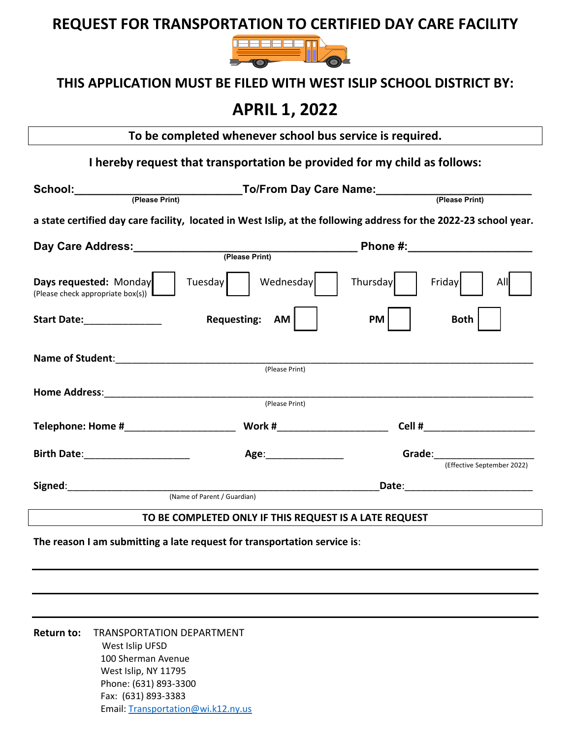## **REQUEST FOR TRANSPORTATION TO CERTIFIED DAY CARE FACILITY**



#### **THIS APPLICATION MUST BE FILED WITH WEST ISLIP SCHOOL DISTRICT BY:**

# **APRIL 1, 2022**

**To be completed whenever school bus service is required.** 

**I hereby request that transportation be provided for my child as follows:** 

| School: <b>School</b>                                       | _To/From Day Care Name:________                                                                                                                                                                                                |                                                                                                                                                                                                                                                              |  |
|-------------------------------------------------------------|--------------------------------------------------------------------------------------------------------------------------------------------------------------------------------------------------------------------------------|--------------------------------------------------------------------------------------------------------------------------------------------------------------------------------------------------------------------------------------------------------------|--|
| (Please Print)                                              |                                                                                                                                                                                                                                | (Please Print)                                                                                                                                                                                                                                               |  |
|                                                             |                                                                                                                                                                                                                                | a state certified day care facility, located in West Islip, at the following address for the 2022-23 school year.                                                                                                                                            |  |
| Day Care Address:                                           | (Please Print)                                                                                                                                                                                                                 | Phone #:______________________                                                                                                                                                                                                                               |  |
| Days requested: Monday<br>(Please check appropriate box(s)) | Wednesday<br>Tuesday                                                                                                                                                                                                           | Thursday<br>Friday<br>All                                                                                                                                                                                                                                    |  |
| Start Date: The Start Date:                                 | <b>Requesting:</b><br>AM                                                                                                                                                                                                       | <b>PM</b><br><b>Both</b>                                                                                                                                                                                                                                     |  |
| Name of Student: Name of Student:                           | (Please Print)                                                                                                                                                                                                                 |                                                                                                                                                                                                                                                              |  |
|                                                             | (Please Print)                                                                                                                                                                                                                 |                                                                                                                                                                                                                                                              |  |
| Telephone: Home #__________________                         | Work #                                                                                                                                                                                                                         | <b>Cell # Cell #</b>                                                                                                                                                                                                                                         |  |
| Birth Date: _______________________                         | Age: the contract of the contract of the contract of the contract of the contract of the contract of the contract of the contract of the contract of the contract of the contract of the contract of the contract of the contr | Grade: The Contract of the Contract of the Contract of the Contract of the Contract of the Contract of the Contract of the Contract of the Contract of the Contract of the Contract of the Contract of the Contract of the Con<br>(Effective September 2022) |  |
|                                                             | (Name of Parent / Guardian)                                                                                                                                                                                                    |                                                                                                                                                                                                                                                              |  |
|                                                             | TO BE COMPLETED ONLY IF THIS REQUEST IS A LATE REQUEST                                                                                                                                                                         |                                                                                                                                                                                                                                                              |  |

**The reason I am submitting a late request for transportation service is**:

**Return to:** TRANSPORTATION DEPARTMENT West Islip UFSD 100 Sherman Avenue West Islip, NY 11795 Phone: (631) 893‐3300 Fax: (631) 893‐3383 Email: Transportation@wi.k12.ny.us